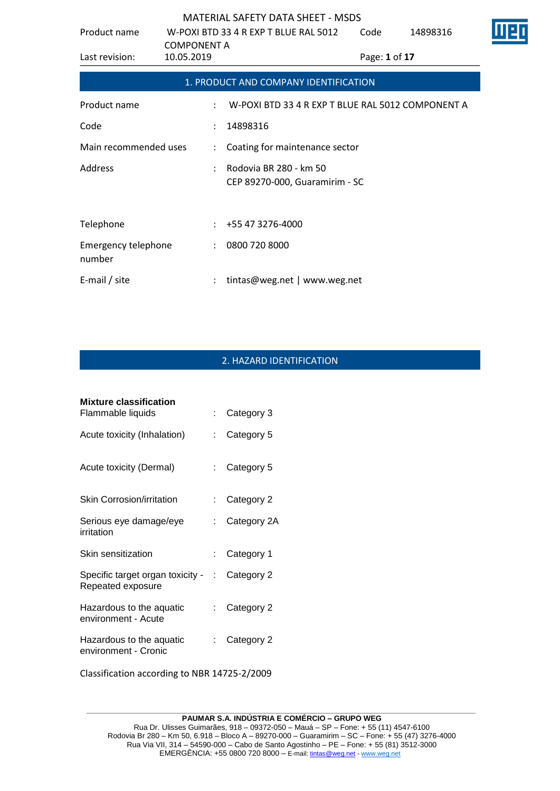| Product name                         |                                  | W-POXI BTD 33 4 R EXP T BLUE RAL 5012                    | Code          | 14898316 | Ш |
|--------------------------------------|----------------------------------|----------------------------------------------------------|---------------|----------|---|
| Last revision:                       | <b>COMPONENT A</b><br>10.05.2019 |                                                          | Page: 1 of 17 |          |   |
|                                      |                                  | 1. PRODUCT AND COMPANY IDENTIFICATION                    |               |          |   |
| Product name                         |                                  | W-POXI BTD 33 4 R EXP T BLUE RAL 5012 COMPONENT A        |               |          |   |
| Code                                 | $\ddot{\phantom{a}}$             | 14898316                                                 |               |          |   |
| Main recommended uses                | $\ddot{\phantom{a}}$             | Coating for maintenance sector                           |               |          |   |
| Address                              |                                  | Rodovia BR 280 - km 50<br>CEP 89270-000, Guaramirim - SC |               |          |   |
| Telephone                            |                                  | +55 47 3276-4000                                         |               |          |   |
| <b>Emergency telephone</b><br>number |                                  | 0800 720 8000                                            |               |          |   |
| E-mail / site                        |                                  | tintas@weg.net   www.weg.net                             |               |          |   |

# 2. HAZARD IDENTIFICATION

| <b>Mixture classification</b>                           |                           |             |
|---------------------------------------------------------|---------------------------|-------------|
| Flammable liquids                                       |                           | Category 3  |
| Acute toxicity (Inhalation)                             |                           | Category 5  |
| Acute toxicity (Dermal)                                 | $\mathbb{R}^{\mathbb{Z}}$ | Category 5  |
| Skin Corrosion/irritation                               | t.                        | Category 2  |
| Serious eye damage/eye<br>irritation                    | t.                        | Category 2A |
| Skin sensitization                                      | t.                        | Category 1  |
| Specific target organ toxicity - :<br>Repeated exposure |                           | Category 2  |
| Hazardous to the aquatic<br>environment - Acute         | t.                        | Category 2  |
| Hazardous to the aquatic<br>environment - Cronic        | t.                        | Category 2  |
|                                                         |                           |             |

Classification according to NBR 14725-2/2009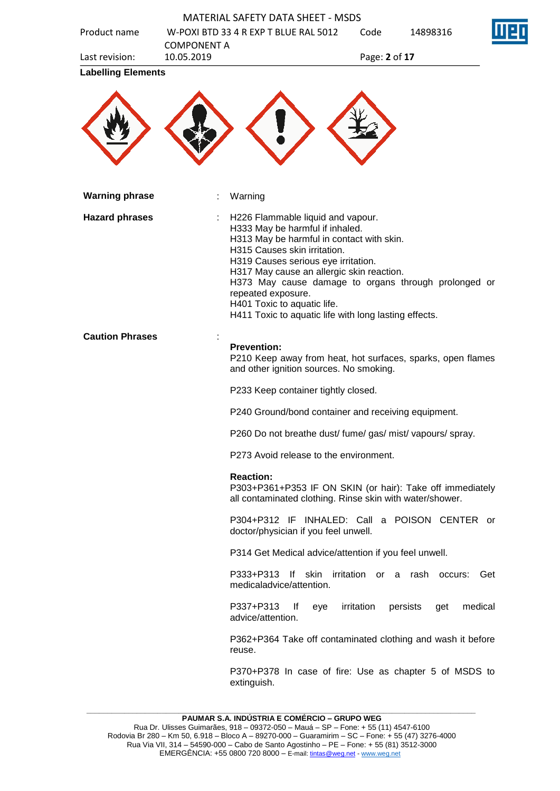| Product name              | <b>MATERIAL SAFETY DATA SHEET - MSDS</b><br>W-POXI BTD 33 4 R EXP T BLUE RAL 5012                                                                                                                                                                                                          | 14898316<br>Code                                                                                                      |
|---------------------------|--------------------------------------------------------------------------------------------------------------------------------------------------------------------------------------------------------------------------------------------------------------------------------------------|-----------------------------------------------------------------------------------------------------------------------|
| Last revision:            | <b>COMPONENT A</b><br>10.05.2019                                                                                                                                                                                                                                                           | Page: 2 of 17                                                                                                         |
| <b>Labelling Elements</b> |                                                                                                                                                                                                                                                                                            |                                                                                                                       |
|                           |                                                                                                                                                                                                                                                                                            |                                                                                                                       |
|                           |                                                                                                                                                                                                                                                                                            |                                                                                                                       |
| <b>Warning phrase</b>     | Warning                                                                                                                                                                                                                                                                                    |                                                                                                                       |
| <b>Hazard phrases</b>     | H226 Flammable liquid and vapour.<br>H333 May be harmful if inhaled.<br>H313 May be harmful in contact with skin.<br>H315 Causes skin irritation.<br>H319 Causes serious eye irritation.<br>H317 May cause an allergic skin reaction.<br>repeated exposure.<br>H401 Toxic to aquatic life. | H373 May cause damage to organs through prolonged or<br>H411 Toxic to aquatic life with long lasting effects.         |
| <b>Caution Phrases</b>    | <b>Prevention:</b><br>and other ignition sources. No smoking.                                                                                                                                                                                                                              | P210 Keep away from heat, hot surfaces, sparks, open flames                                                           |
|                           | P233 Keep container tightly closed.                                                                                                                                                                                                                                                        |                                                                                                                       |
|                           |                                                                                                                                                                                                                                                                                            | P240 Ground/bond container and receiving equipment.                                                                   |
|                           |                                                                                                                                                                                                                                                                                            | P260 Do not breathe dust/ fume/ gas/ mist/ vapours/ spray.                                                            |
|                           | P273 Avoid release to the environment.                                                                                                                                                                                                                                                     |                                                                                                                       |
|                           | <b>Reaction:</b>                                                                                                                                                                                                                                                                           | P303+P361+P353 IF ON SKIN (or hair): Take off immediately<br>all contaminated clothing. Rinse skin with water/shower. |
|                           | doctor/physician if you feel unwell.                                                                                                                                                                                                                                                       | P304+P312 IF INHALED: Call a POISON CENTER or                                                                         |
|                           |                                                                                                                                                                                                                                                                                            | P314 Get Medical advice/attention if you feel unwell.                                                                 |
|                           | P333+P313 If<br>skin<br>medicaladvice/attention.                                                                                                                                                                                                                                           | irritation or a rash occurs:<br>Get                                                                                   |
|                           | P337+P313<br>lf<br>advice/attention.                                                                                                                                                                                                                                                       | medical<br>irritation<br>persists<br>eye<br>get                                                                       |
|                           | reuse.                                                                                                                                                                                                                                                                                     | P362+P364 Take off contaminated clothing and wash it before                                                           |
|                           | extinguish.                                                                                                                                                                                                                                                                                | P370+P378 In case of fire: Use as chapter 5 of MSDS to                                                                |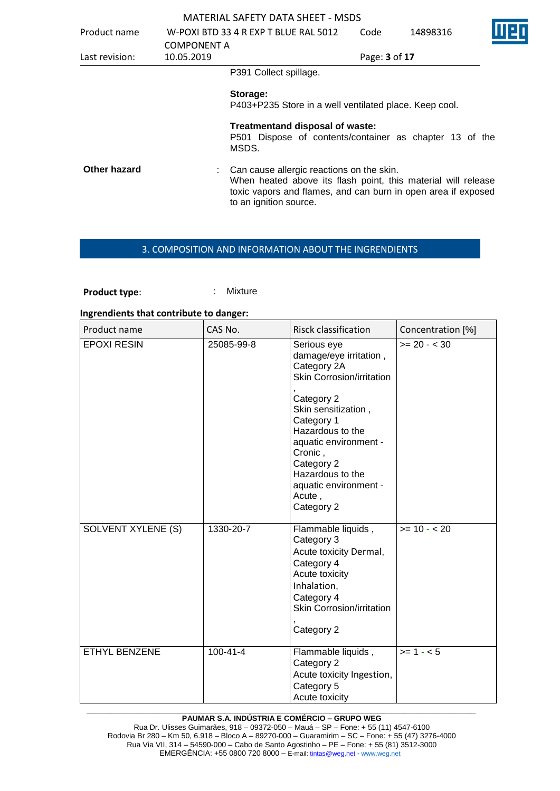| Product name   | <b>COMPONENT A</b> | W-POXI BTD 33 4 R EXP T BLUE RAL 5012                                                                                                                                                                 | Code | 14898316      |  |
|----------------|--------------------|-------------------------------------------------------------------------------------------------------------------------------------------------------------------------------------------------------|------|---------------|--|
| Last revision: | 10.05.2019         |                                                                                                                                                                                                       |      | Page: 3 of 17 |  |
|                |                    | P391 Collect spillage.                                                                                                                                                                                |      |               |  |
|                |                    | Storage:<br>P403+P235 Store in a well ventilated place. Keep cool.                                                                                                                                    |      |               |  |
|                |                    | Treatmentand disposal of waste:<br>P501 Dispose of contents/container as chapter 13 of the<br>MSDS.                                                                                                   |      |               |  |
| Other hazard   |                    | Can cause allergic reactions on the skin.<br>When heated above its flash point, this material will release<br>toxic vapors and flames, and can burn in open area if exposed<br>to an ignition source. |      |               |  |

### 3. COMPOSITION AND INFORMATION ABOUT THE INGRENDIENTS

**Product type:** : : : : : : Mixture

#### **Ingrendients that contribute to danger:**

| Product name       | CAS No.        | <b>Risck classification</b>                                                                                                                                                                | Concentration [%] |
|--------------------|----------------|--------------------------------------------------------------------------------------------------------------------------------------------------------------------------------------------|-------------------|
| <b>EPOXI RESIN</b> | 25085-99-8     | Serious eye<br>damage/eye irritation,<br>Category 2A<br>Skin Corrosion/irritation                                                                                                          | $>= 20 - 30$      |
|                    |                | Category 2<br>Skin sensitization,<br>Category 1<br>Hazardous to the<br>aquatic environment -<br>Cronic,<br>Category 2<br>Hazardous to the<br>aquatic environment -<br>Acute,<br>Category 2 |                   |
| SOLVENT XYLENE (S) | 1330-20-7      | Flammable liquids,<br>Category 3<br>Acute toxicity Dermal,<br>Category 4<br>Acute toxicity<br>Inhalation,<br>Category 4<br>Skin Corrosion/irritation<br>Category 2                         | $>= 10 - 20$      |
| ETHYL BENZENE      | $100 - 41 - 4$ | Flammable liquids,<br>Category 2<br>Acute toxicity Ingestion,<br>Category 5<br>Acute toxicity                                                                                              | $>= 1 - 5$        |

#### **\_\_\_\_\_\_\_\_\_\_\_\_\_\_\_\_\_\_\_\_\_\_\_\_\_\_\_\_\_\_\_\_\_\_\_\_\_\_\_\_\_\_\_\_\_\_\_\_\_\_\_\_\_\_\_\_\_\_\_\_\_\_\_\_\_\_\_\_\_\_\_\_\_\_\_\_\_\_\_\_\_\_\_\_\_\_\_\_\_\_\_\_\_ PAUMAR S.A. INDÚSTRIA E COMÉRCIO – GRUPO WEG**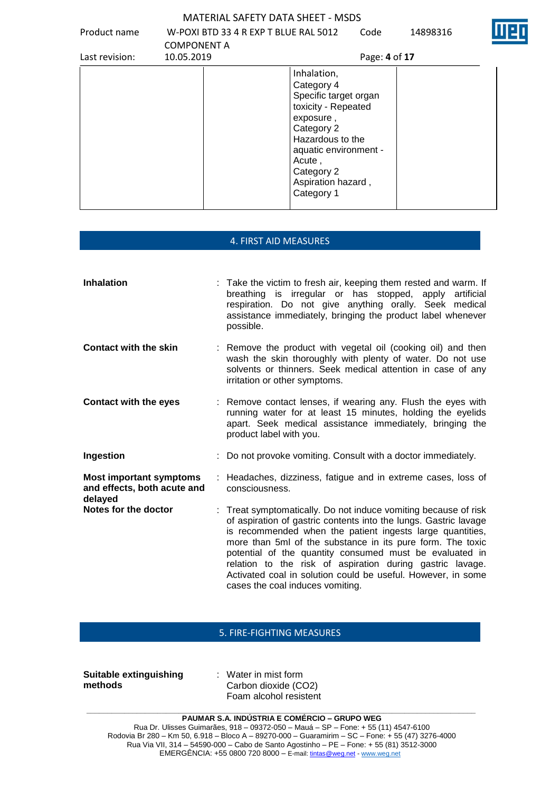Product name W-POXI BTD 33 4 R EXP T BLUE RAL 5012 COMPONENT A Code 14898316



| Last revision: | 10.05.2019 | Page: 4 of 17                                                                                                                                                                                                 |
|----------------|------------|---------------------------------------------------------------------------------------------------------------------------------------------------------------------------------------------------------------|
|                |            | Inhalation,<br>Category 4<br>Specific target organ<br>toxicity - Repeated<br>exposure,<br>Category 2<br>Hazardous to the<br>aquatic environment -<br>Acute,<br>Category 2<br>Aspiration hazard,<br>Category 1 |

## 4. FIRST AID MEASURES

| <b>Inhalation</b>                                                        | : Take the victim to fresh air, keeping them rested and warm. If<br>breathing is irregular or has stopped, apply artificial<br>respiration. Do not give anything orally. Seek medical<br>assistance immediately, bringing the product label whenever<br>possible.                                                                                                                                                                                                                          |
|--------------------------------------------------------------------------|--------------------------------------------------------------------------------------------------------------------------------------------------------------------------------------------------------------------------------------------------------------------------------------------------------------------------------------------------------------------------------------------------------------------------------------------------------------------------------------------|
| <b>Contact with the skin</b>                                             | : Remove the product with vegetal oil (cooking oil) and then<br>wash the skin thoroughly with plenty of water. Do not use<br>solvents or thinners. Seek medical attention in case of any<br>irritation or other symptoms.                                                                                                                                                                                                                                                                  |
| <b>Contact with the eyes</b>                                             | : Remove contact lenses, if wearing any. Flush the eyes with<br>running water for at least 15 minutes, holding the eyelids<br>apart. Seek medical assistance immediately, bringing the<br>product label with you.                                                                                                                                                                                                                                                                          |
| Ingestion                                                                | : Do not provoke vomiting. Consult with a doctor immediately.                                                                                                                                                                                                                                                                                                                                                                                                                              |
| <b>Most important symptoms</b><br>and effects, both acute and<br>delayed | : Headaches, dizziness, fatigue and in extreme cases, loss of<br>consciousness.                                                                                                                                                                                                                                                                                                                                                                                                            |
| Notes for the doctor                                                     | : Treat symptomatically. Do not induce vomiting because of risk<br>of aspiration of gastric contents into the lungs. Gastric lavage<br>is recommended when the patient ingests large quantities,<br>more than 5ml of the substance in its pure form. The toxic<br>potential of the quantity consumed must be evaluated in<br>relation to the risk of aspiration during gastric lavage.<br>Activated coal in solution could be useful. However, in some<br>cases the coal induces vomiting. |

# 5. FIRE-FIGHTING MEASURES

| <b>Suitable extinguishing</b> |  |
|-------------------------------|--|
| methods                       |  |

: Water in mist form Carbon dioxide (CO2) Foam alcohol resistent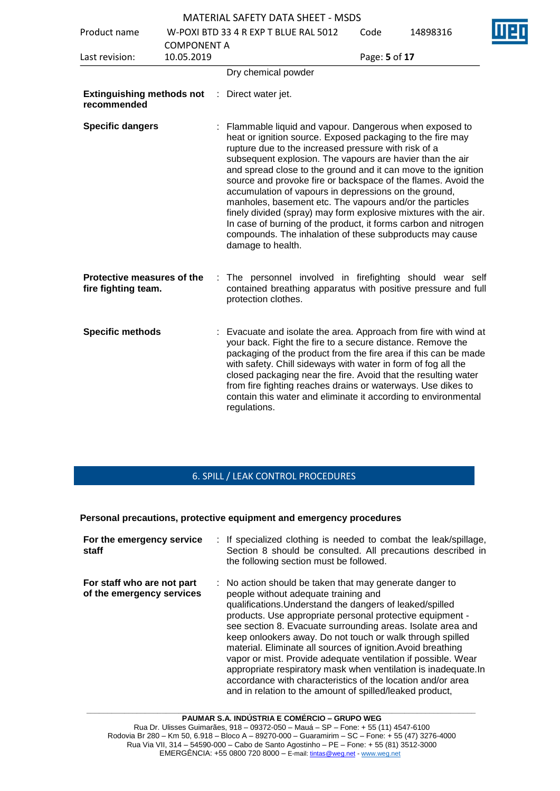|                                                   |                    |    | <b>MATERIAL SAFETY DATA SHEET - MSDS</b>                                                                                                                                                                                                                                                                                                                                                                                                                                                                                                                                                                                                                                                                                  |               |          |  |
|---------------------------------------------------|--------------------|----|---------------------------------------------------------------------------------------------------------------------------------------------------------------------------------------------------------------------------------------------------------------------------------------------------------------------------------------------------------------------------------------------------------------------------------------------------------------------------------------------------------------------------------------------------------------------------------------------------------------------------------------------------------------------------------------------------------------------------|---------------|----------|--|
| Product name                                      |                    |    | W-POXI BTD 33 4 R EXP T BLUE RAL 5012                                                                                                                                                                                                                                                                                                                                                                                                                                                                                                                                                                                                                                                                                     | Code          | 14898316 |  |
|                                                   | <b>COMPONENT A</b> |    |                                                                                                                                                                                                                                                                                                                                                                                                                                                                                                                                                                                                                                                                                                                           |               |          |  |
| Last revision:                                    | 10.05.2019         |    |                                                                                                                                                                                                                                                                                                                                                                                                                                                                                                                                                                                                                                                                                                                           | Page: 5 of 17 |          |  |
|                                                   |                    |    | Dry chemical powder                                                                                                                                                                                                                                                                                                                                                                                                                                                                                                                                                                                                                                                                                                       |               |          |  |
| <b>Extinguishing methods not</b><br>recommended   |                    |    | Direct water jet.                                                                                                                                                                                                                                                                                                                                                                                                                                                                                                                                                                                                                                                                                                         |               |          |  |
| <b>Specific dangers</b>                           |                    |    | Flammable liquid and vapour. Dangerous when exposed to<br>heat or ignition source. Exposed packaging to the fire may<br>rupture due to the increased pressure with risk of a<br>subsequent explosion. The vapours are havier than the air<br>and spread close to the ground and it can move to the ignition<br>source and provoke fire or backspace of the flames. Avoid the<br>accumulation of vapours in depressions on the ground,<br>manholes, basement etc. The vapours and/or the particles<br>finely divided (spray) may form explosive mixtures with the air.<br>In case of burning of the product, it forms carbon and nitrogen<br>compounds. The inhalation of these subproducts may cause<br>damage to health. |               |          |  |
| Protective measures of the<br>fire fighting team. |                    | ÷. | The personnel involved in firefighting should wear self<br>contained breathing apparatus with positive pressure and full<br>protection clothes.                                                                                                                                                                                                                                                                                                                                                                                                                                                                                                                                                                           |               |          |  |
| <b>Specific methods</b>                           |                    |    | : Evacuate and isolate the area. Approach from fire with wind at<br>your back. Fight the fire to a secure distance. Remove the<br>packaging of the product from the fire area if this can be made<br>with safety. Chill sideways with water in form of fog all the<br>closed packaging near the fire. Avoid that the resulting water<br>from fire fighting reaches drains or waterways. Use dikes to<br>contain this water and eliminate it according to environmental<br>regulations.                                                                                                                                                                                                                                    |               |          |  |

# 6. SPILL / LEAK CONTROL PROCEDURES

#### **Personal precautions, protective equipment and emergency procedures**

| For the emergency service<br>staff                      | : If specialized clothing is needed to combat the leak/spillage,<br>Section 8 should be consulted. All precautions described in<br>the following section must be followed.                                                                                                                                                                                                                                                                                                                                                                                                                                                                                                          |
|---------------------------------------------------------|-------------------------------------------------------------------------------------------------------------------------------------------------------------------------------------------------------------------------------------------------------------------------------------------------------------------------------------------------------------------------------------------------------------------------------------------------------------------------------------------------------------------------------------------------------------------------------------------------------------------------------------------------------------------------------------|
| For staff who are not part<br>of the emergency services | : No action should be taken that may generate danger to<br>people without adequate training and<br>qualifications. Understand the dangers of leaked/spilled<br>products. Use appropriate personal protective equipment -<br>see section 8. Evacuate surrounding areas. Isolate area and<br>keep onlookers away. Do not touch or walk through spilled<br>material. Eliminate all sources of ignition. Avoid breathing<br>vapor or mist. Provide adequate ventilation if possible. Wear<br>appropriate respiratory mask when ventilation is inadequate. In<br>accordance with characteristics of the location and/or area<br>and in relation to the amount of spilled/leaked product, |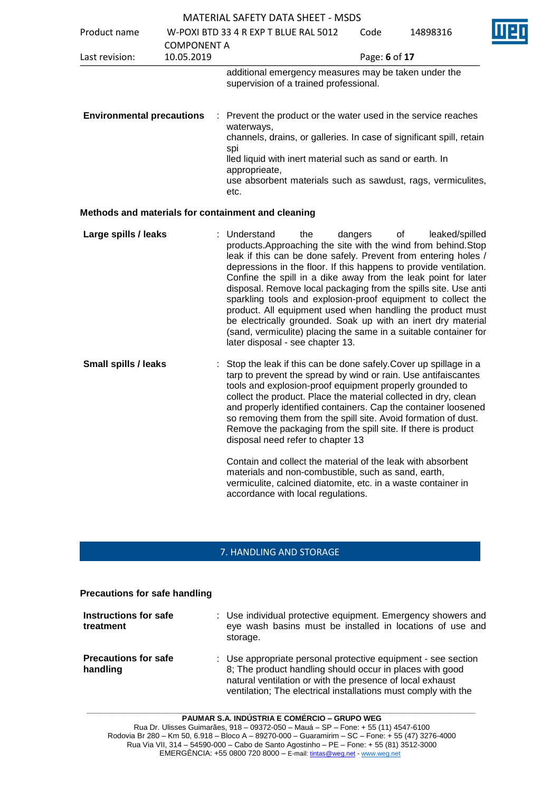|                                  |                    | <b>MATERIAL SAFETY DATA SHEET - MSDS</b>                                                                                                                                                                                                                                                                                                                                                                                                                                                                                                                                                                                                                                |               |                      |  |
|----------------------------------|--------------------|-------------------------------------------------------------------------------------------------------------------------------------------------------------------------------------------------------------------------------------------------------------------------------------------------------------------------------------------------------------------------------------------------------------------------------------------------------------------------------------------------------------------------------------------------------------------------------------------------------------------------------------------------------------------------|---------------|----------------------|--|
| Product name                     | <b>COMPONENT A</b> | W-POXI BTD 33 4 R EXP T BLUE RAL 5012                                                                                                                                                                                                                                                                                                                                                                                                                                                                                                                                                                                                                                   |               | 14898316             |  |
| Last revision:                   | 10.05.2019         |                                                                                                                                                                                                                                                                                                                                                                                                                                                                                                                                                                                                                                                                         | Page: 6 of 17 |                      |  |
|                                  |                    | additional emergency measures may be taken under the<br>supervision of a trained professional.                                                                                                                                                                                                                                                                                                                                                                                                                                                                                                                                                                          |               |                      |  |
| <b>Environmental precautions</b> |                    | : Prevent the product or the water used in the service reaches<br>waterways,<br>channels, drains, or galleries. In case of significant spill, retain<br>spi<br>lled liquid with inert material such as sand or earth. In<br>approprieate,<br>use absorbent materials such as sawdust, rags, vermiculites,<br>etc.                                                                                                                                                                                                                                                                                                                                                       |               |                      |  |
|                                  |                    | Methods and materials for containment and cleaning                                                                                                                                                                                                                                                                                                                                                                                                                                                                                                                                                                                                                      |               |                      |  |
| Large spills / leaks             |                    | : Understand<br>the<br>products. Approaching the site with the wind from behind. Stop<br>leak if this can be done safely. Prevent from entering holes /<br>depressions in the floor. If this happens to provide ventilation.<br>Confine the spill in a dike away from the leak point for later<br>disposal. Remove local packaging from the spills site. Use anti<br>sparkling tools and explosion-proof equipment to collect the<br>product. All equipment used when handling the product must<br>be electrically grounded. Soak up with an inert dry material<br>(sand, vermiculite) placing the same in a suitable container for<br>later disposal - see chapter 13. | dangers       | 0f<br>leaked/spilled |  |
| <b>Small spills / leaks</b>      |                    | Stop the leak if this can be done safely. Cover up spillage in a<br>tarp to prevent the spread by wind or rain. Use antifaiscantes<br>tools and explosion-proof equipment properly grounded to<br>collect the product. Place the material collected in dry, clean<br>and properly identified containers. Cap the container loosened<br>so removing them from the spill site. Avoid formation of dust.<br>Remove the packaging from the spill site. If there is product<br>disposal need refer to chapter 13                                                                                                                                                             |               |                      |  |

Contain and collect the material of the leak with absorbent materials and non-combustible, such as sand, earth, vermiculite, calcined diatomite, etc. in a waste container in accordance with local regulations.

# 7. HANDLING AND STORAGE

#### **Precautions for safe handling**

| Instructions for safe<br>treatment      | : Use individual protective equipment. Emergency showers and<br>eye wash basins must be installed in locations of use and<br>storage.                                                                                                                    |
|-----------------------------------------|----------------------------------------------------------------------------------------------------------------------------------------------------------------------------------------------------------------------------------------------------------|
| <b>Precautions for safe</b><br>handling | : Use appropriate personal protective equipment - see section<br>8; The product handling should occur in places with good<br>natural ventilation or with the presence of local exhaust<br>ventilation; The electrical installations must comply with the |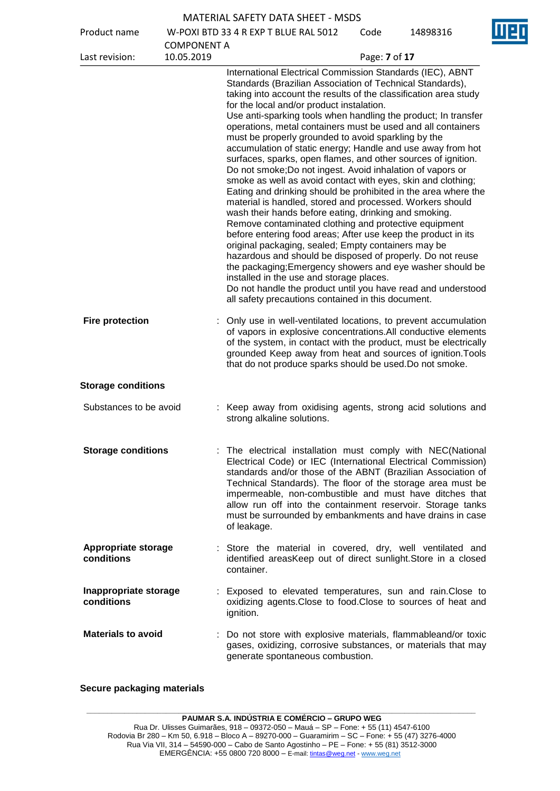| <b>MATERIAL SAFETY DATA SHEET - MSDS</b> |  |  |  |  |
|------------------------------------------|--|--|--|--|
|------------------------------------------|--|--|--|--|

Product name W-POXI BTD 33 4 R EXP T BLUE RAL 5012

Code 14898316

| r Tuuutti Tiditit                        |                                  | 00 T OAT DTD 33 4 IN EAT TIDLOL IN LIJOLE                                                                                                                                                                                                                                                                                                                                                                                                                                                                                                                                                                                                                                                                                                                                                                                                                                                                                                                                                                                                                                                                                                                                                                                                                                                                                                                            |               |  |
|------------------------------------------|----------------------------------|----------------------------------------------------------------------------------------------------------------------------------------------------------------------------------------------------------------------------------------------------------------------------------------------------------------------------------------------------------------------------------------------------------------------------------------------------------------------------------------------------------------------------------------------------------------------------------------------------------------------------------------------------------------------------------------------------------------------------------------------------------------------------------------------------------------------------------------------------------------------------------------------------------------------------------------------------------------------------------------------------------------------------------------------------------------------------------------------------------------------------------------------------------------------------------------------------------------------------------------------------------------------------------------------------------------------------------------------------------------------|---------------|--|
| Last revision:                           | <b>COMPONENT A</b><br>10.05.2019 |                                                                                                                                                                                                                                                                                                                                                                                                                                                                                                                                                                                                                                                                                                                                                                                                                                                                                                                                                                                                                                                                                                                                                                                                                                                                                                                                                                      | Page: 7 of 17 |  |
|                                          |                                  | International Electrical Commission Standards (IEC), ABNT<br>Standards (Brazilian Association of Technical Standards),<br>taking into account the results of the classification area study<br>for the local and/or product instalation.<br>Use anti-sparking tools when handling the product; In transfer<br>operations, metal containers must be used and all containers<br>must be properly grounded to avoid sparkling by the<br>accumulation of static energy; Handle and use away from hot<br>surfaces, sparks, open flames, and other sources of ignition.<br>Do not smoke; Do not ingest. Avoid inhalation of vapors or<br>smoke as well as avoid contact with eyes, skin and clothing;<br>Eating and drinking should be prohibited in the area where the<br>material is handled, stored and processed. Workers should<br>wash their hands before eating, drinking and smoking.<br>Remove contaminated clothing and protective equipment<br>before entering food areas; After use keep the product in its<br>original packaging, sealed; Empty containers may be<br>hazardous and should be disposed of properly. Do not reuse<br>the packaging; Emergency showers and eye washer should be<br>installed in the use and storage places.<br>Do not handle the product until you have read and understood<br>all safety precautions contained in this document. |               |  |
| <b>Fire protection</b>                   |                                  | : Only use in well-ventilated locations, to prevent accumulation<br>of vapors in explosive concentrations.All conductive elements<br>of the system, in contact with the product, must be electrically<br>grounded Keep away from heat and sources of ignition. Tools<br>that do not produce sparks should be used. Do not smoke.                                                                                                                                                                                                                                                                                                                                                                                                                                                                                                                                                                                                                                                                                                                                                                                                                                                                                                                                                                                                                                     |               |  |
| <b>Storage conditions</b>                |                                  |                                                                                                                                                                                                                                                                                                                                                                                                                                                                                                                                                                                                                                                                                                                                                                                                                                                                                                                                                                                                                                                                                                                                                                                                                                                                                                                                                                      |               |  |
| Substances to be avoid                   |                                  | : Keep away from oxidising agents, strong acid solutions and<br>strong alkaline solutions.                                                                                                                                                                                                                                                                                                                                                                                                                                                                                                                                                                                                                                                                                                                                                                                                                                                                                                                                                                                                                                                                                                                                                                                                                                                                           |               |  |
| <b>Storage conditions</b>                |                                  | The electrical installation must comply with NEC(National<br>Electrical Code) or IEC (International Electrical Commission)<br>standards and/or those of the ABNT (Brazilian Association of<br>Technical Standards). The floor of the storage area must be<br>impermeable, non-combustible and must have ditches that<br>allow run off into the containment reservoir. Storage tanks<br>must be surrounded by embankments and have drains in case<br>of leakage.                                                                                                                                                                                                                                                                                                                                                                                                                                                                                                                                                                                                                                                                                                                                                                                                                                                                                                      |               |  |
| <b>Appropriate storage</b><br>conditions |                                  | : Store the material in covered, dry, well ventilated and<br>identified areasKeep out of direct sunlight.Store in a closed<br>container.                                                                                                                                                                                                                                                                                                                                                                                                                                                                                                                                                                                                                                                                                                                                                                                                                                                                                                                                                                                                                                                                                                                                                                                                                             |               |  |
| Inappropriate storage<br>conditions      |                                  | : Exposed to elevated temperatures, sun and rain. Close to<br>oxidizing agents. Close to food. Close to sources of heat and<br>ignition.                                                                                                                                                                                                                                                                                                                                                                                                                                                                                                                                                                                                                                                                                                                                                                                                                                                                                                                                                                                                                                                                                                                                                                                                                             |               |  |
| <b>Materials to avoid</b>                |                                  | Do not store with explosive materials, flammableand/or toxic<br>gases, oxidizing, corrosive substances, or materials that may<br>generate spontaneous combustion.                                                                                                                                                                                                                                                                                                                                                                                                                                                                                                                                                                                                                                                                                                                                                                                                                                                                                                                                                                                                                                                                                                                                                                                                    |               |  |

# **Secure packaging materials**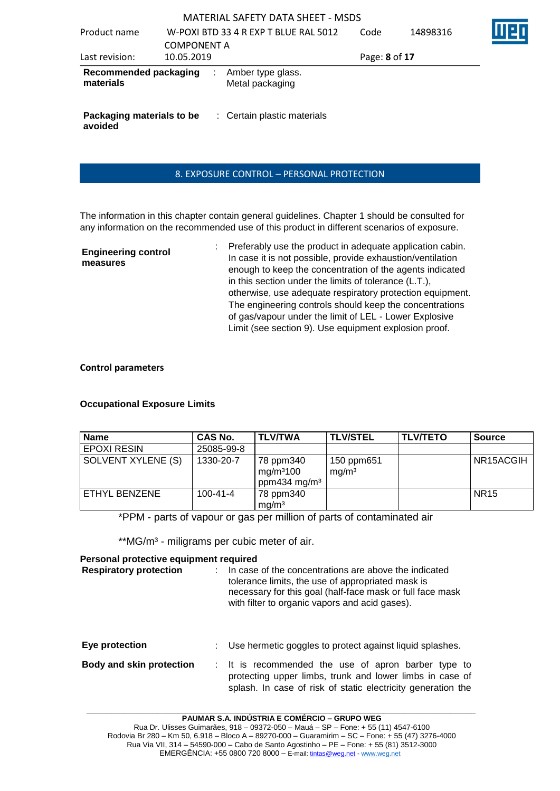| Product name                         | <b>COMPONENT A</b> | W-POXI BTD 33 4 R EXP T BLUE RAL 5012 | Code          | 14898316 |  |
|--------------------------------------|--------------------|---------------------------------------|---------------|----------|--|
| Last revision:                       | 10.05.2019         |                                       | Page: 8 of 17 |          |  |
| Recommended packaging<br>materials   |                    | Amber type glass.<br>Metal packaging  |               |          |  |
| Packaging materials to be<br>avoided |                    | : Certain plastic materials           |               |          |  |

### 8. EXPOSURE CONTROL – PERSONAL PROTECTION

The information in this chapter contain general guidelines. Chapter 1 should be consulted for any information on the recommended use of this product in different scenarios of exposure.

| <b>Engineering control</b><br>measures | Preferably use the product in adequate application cabin.<br>In case it is not possible, provide exhaustion/ventilation |
|----------------------------------------|-------------------------------------------------------------------------------------------------------------------------|
|                                        | enough to keep the concentration of the agents indicated                                                                |
|                                        | in this section under the limits of tolerance (L.T.),                                                                   |
|                                        | otherwise, use adequate respiratory protection equipment.                                                               |
|                                        | The engineering controls should keep the concentrations                                                                 |
|                                        | of gas/vapour under the limit of LEL - Lower Explosive                                                                  |
|                                        | Limit (see section 9). Use equipment explosion proof.                                                                   |

#### **Control parameters**

#### **Occupational Exposure Limits**

| <b>Name</b>        | CAS No.        | <b>TLV/TWA</b>                                                 | <b>TLV/STEL</b>                 | <b>TLV/TETO</b> | <b>Source</b> |
|--------------------|----------------|----------------------------------------------------------------|---------------------------------|-----------------|---------------|
| <b>EPOXI RESIN</b> | 25085-99-8     |                                                                |                                 |                 |               |
| SOLVENT XYLENE (S) | 1330-20-7      | 78 ppm340<br>mg/m <sup>3</sup> 100<br>ppm434 mg/m <sup>3</sup> | 150 ppm651<br>mg/m <sup>3</sup> |                 | NR15ACGIH     |
| ETHYL BENZENE      | $100 - 41 - 4$ | 78 ppm340<br>mg/m <sup>3</sup>                                 |                                 |                 | <b>NR15</b>   |

\*PPM - parts of vapour or gas per million of parts of contaminated air

\*\*MG/m<sup>3</sup> - miligrams per cubic meter of air.

#### **Personal protective equipment required**

| <b>Respiratory protection</b> | In case of the concentrations are above the indicated<br>tolerance limits, the use of appropriated mask is<br>necessary for this goal (half-face mask or full face mask<br>with filter to organic vapors and acid gases). |
|-------------------------------|---------------------------------------------------------------------------------------------------------------------------------------------------------------------------------------------------------------------------|
|                               |                                                                                                                                                                                                                           |

#### **Eye protection** : Use hermetic goggles to protect against liquid splashes.

# **Body and skin protection** : It is recommended the use of apron barber type to protecting upper limbs, trunk and lower limbs in case of splash. In case of risk of static electricity generation the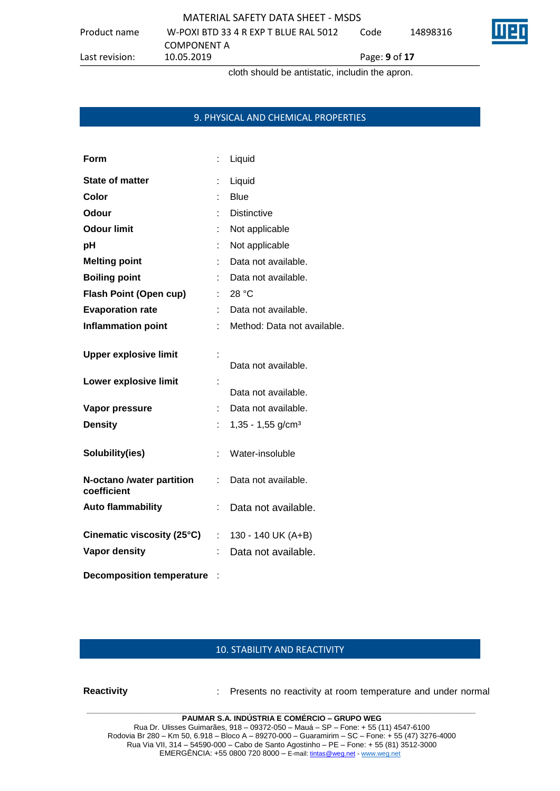Product name W-POXI BTD 33 4 R EXP T BLUE RAL 5012 COMPONENT A<br>10.05.2019

Last revision: 10.05.2019 Page: **9** of **17**

cloth should be antistatic, includin the apron.

### 9. PHYSICAL AND CHEMICAL PROPERTIES

| Form                                     |    | Liquid                          |
|------------------------------------------|----|---------------------------------|
| <b>State of matter</b>                   | t  | Liquid                          |
| Color                                    |    | <b>Blue</b>                     |
| <b>Odour</b>                             |    | <b>Distinctive</b>              |
| <b>Odour limit</b>                       |    | Not applicable                  |
| рH                                       |    | Not applicable                  |
| <b>Melting point</b>                     |    | Data not available.             |
| <b>Boiling point</b>                     |    | Data not available.             |
| <b>Flash Point (Open cup)</b>            |    | 28 °C                           |
| <b>Evaporation rate</b>                  |    | Data not available.             |
| <b>Inflammation point</b>                |    | Method: Data not available.     |
| <b>Upper explosive limit</b>             |    | Data not available.             |
| Lower explosive limit                    |    | Data not available.             |
| Vapor pressure                           | t  | Data not available.             |
| <b>Density</b>                           |    | $1,35 - 1,55$ g/cm <sup>3</sup> |
| Solubility(ies)                          | t. | Water-insoluble                 |
| N-octano /water partition<br>coefficient | t. | Data not available.             |
| <b>Auto flammability</b>                 |    | Data not available.             |
| Cinematic viscosity (25°C)               | t. | 130 - 140 UK (A+B)              |
| <b>Vapor density</b>                     |    | Data not available.             |
| <b>Decomposition temperature</b>         |    |                                 |

#### 10. STABILITY AND REACTIVITY

**Reactivity** : Presents no reactivity at room temperature and under normal

**PAUMAR S.A. INDÚSTRIA E COMÉRCIO – GRUPO WEG** Rua Dr. Ulisses Guimarães, 918 – 09372-050 – Mauá – SP – Fone: + 55 (11) 4547-6100 Rodovia Br 280 – Km 50, 6.918 – Bloco A – 89270-000 – Guaramirim – SC – Fone: + 55 (47) 3276-4000 Rua Via VII, 314 – 54590-000 – Cabo de Santo Agostinho – PE – Fone: + 55 (81) 3512-3000 EMERGËNCIA: +55 0800 720 8000 – E-mail[: tintas@weg.net](mailto:tintas@weg.net) - [www.weg.net](http://www.weg.net/)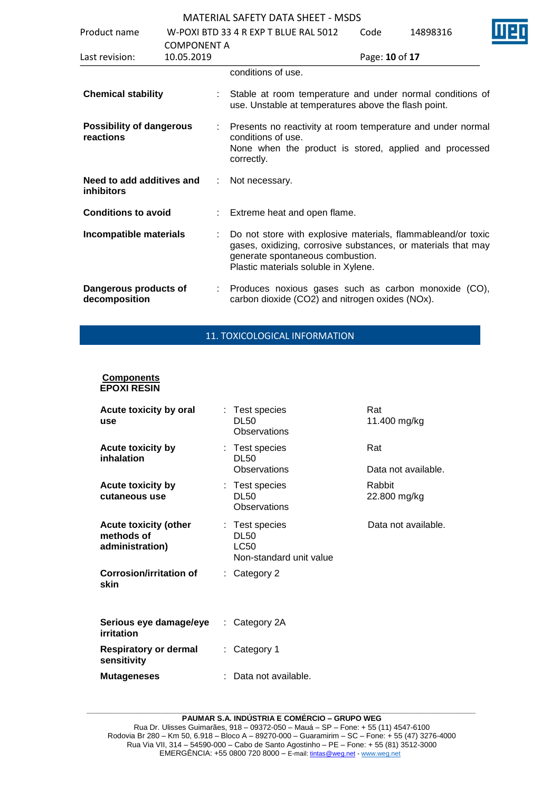| Product name                                   | <b>COMPONENT A</b> |    | W-POXI BTD 33 4 R FXP T BLUF RAL 5012                                                                                                                                                                     | Code           | 14898316 |  |
|------------------------------------------------|--------------------|----|-----------------------------------------------------------------------------------------------------------------------------------------------------------------------------------------------------------|----------------|----------|--|
| Last revision:                                 | 10.05.2019         |    |                                                                                                                                                                                                           | Page: 10 of 17 |          |  |
|                                                |                    |    | conditions of use.                                                                                                                                                                                        |                |          |  |
| <b>Chemical stability</b>                      |                    |    | Stable at room temperature and under normal conditions of<br>use. Unstable at temperatures above the flash point.                                                                                         |                |          |  |
| <b>Possibility of dangerous</b><br>reactions   |                    |    | Presents no reactivity at room temperature and under normal<br>conditions of use.<br>None when the product is stored, applied and processed<br>correctly.                                                 |                |          |  |
| Need to add additives and<br><b>inhibitors</b> |                    | ÷  | Not necessary.                                                                                                                                                                                            |                |          |  |
| <b>Conditions to avoid</b>                     |                    |    | Extreme heat and open flame.                                                                                                                                                                              |                |          |  |
| Incompatible materials                         |                    |    | Do not store with explosive materials, flammableand/or toxic<br>gases, oxidizing, corrosive substances, or materials that may<br>generate spontaneous combustion.<br>Plastic materials soluble in Xylene. |                |          |  |
| Dangerous products of<br>decomposition         |                    | ÷. | Produces noxious gases such as carbon monoxide (CO),<br>carbon dioxide (CO2) and nitrogen oxides (NOx).                                                                                                   |                |          |  |

# 11. TOXICOLOGICAL INFORMATION

#### **Components EPOXI RESIN**

| Acute toxicity by oral<br>use                                 |   | : Test species<br>DL50<br>Observations                           | Rat<br>11.400 mg/kg    |
|---------------------------------------------------------------|---|------------------------------------------------------------------|------------------------|
| <b>Acute toxicity by</b><br>inhalation                        |   | : Test species<br>DL50                                           | Rat                    |
|                                                               |   | Observations                                                     | Data not available.    |
| <b>Acute toxicity by</b><br>cutaneous use                     |   | : Test species<br>DL50<br>Observations                           | Rabbit<br>22.800 mg/kg |
| <b>Acute toxicity (other</b><br>methods of<br>administration) |   | : Test species<br><b>DL50</b><br>LC50<br>Non-standard unit value | Data not available.    |
| Corrosion/irritation of<br>skin                               | ÷ | Category 2                                                       |                        |
| Serious eye damage/eye<br>irritation                          | ÷ | Category 2A                                                      |                        |
| Respiratory or dermal<br>sensitivity                          | ÷ | Category 1                                                       |                        |
| <b>Mutageneses</b>                                            |   | Data not available.                                              |                        |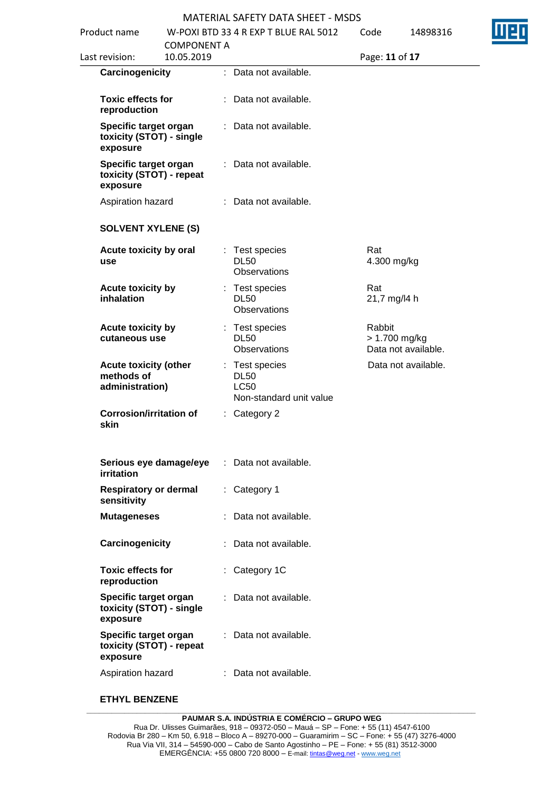| Product name                                                  |                                  |    | W-POXI BTD 33 4 R EXP T BLUE RAL 5012                                   | Code                    | 14898316            |  |
|---------------------------------------------------------------|----------------------------------|----|-------------------------------------------------------------------------|-------------------------|---------------------|--|
| Last revision:                                                | <b>COMPONENT A</b><br>10.05.2019 |    |                                                                         | Page: 11 of 17          |                     |  |
| Carcinogenicity                                               |                                  |    | : Data not available.                                                   |                         |                     |  |
| <b>Toxic effects for</b><br>reproduction                      |                                  |    | Data not available.                                                     |                         |                     |  |
| Specific target organ<br>toxicity (STOT) - single<br>exposure |                                  | t. | Data not available.                                                     |                         |                     |  |
| Specific target organ<br>toxicity (STOT) - repeat<br>exposure |                                  |    | Data not available.                                                     |                         |                     |  |
| Aspiration hazard                                             |                                  |    | : Data not available.                                                   |                         |                     |  |
| <b>SOLVENT XYLENE (S)</b>                                     |                                  |    |                                                                         |                         |                     |  |
| Acute toxicity by oral<br>use                                 |                                  |    | : Test species<br><b>DL50</b><br>Observations                           | Rat<br>4.300 mg/kg      |                     |  |
| Acute toxicity by<br>inhalation                               |                                  |    | : Test species<br><b>DL50</b><br>Observations                           | Rat<br>21,7 mg/l4 h     |                     |  |
| Acute toxicity by<br>cutaneous use                            |                                  |    | : Test species<br><b>DL50</b><br>Observations                           | Rabbit<br>> 1.700 mg/kg | Data not available. |  |
| <b>Acute toxicity (other</b><br>methods of<br>administration) |                                  |    | : Test species<br><b>DL50</b><br><b>LC50</b><br>Non-standard unit value |                         | Data not available. |  |
| <b>Corrosion/irritation of</b><br>skin                        |                                  | t. | Category 2                                                              |                         |                     |  |
| Serious eye damage/eye<br>irritation                          |                                  | ٠. | Data not available.                                                     |                         |                     |  |
| <b>Respiratory or dermal</b><br>sensitivity                   |                                  |    | : Category 1                                                            |                         |                     |  |
| <b>Mutageneses</b>                                            |                                  |    | Data not available.                                                     |                         |                     |  |
| Carcinogenicity                                               |                                  |    | Data not available.                                                     |                         |                     |  |
| <b>Toxic effects for</b><br>reproduction                      |                                  |    | Category 1C                                                             |                         |                     |  |
| Specific target organ<br>toxicity (STOT) - single<br>exposure |                                  | ÷. | Data not available.                                                     |                         |                     |  |
| Specific target organ<br>toxicity (STOT) - repeat<br>exposure |                                  |    | : Data not available.                                                   |                         |                     |  |
| Aspiration hazard                                             |                                  |    | : Data not available.                                                   |                         |                     |  |

### **ETHYL BENZENE**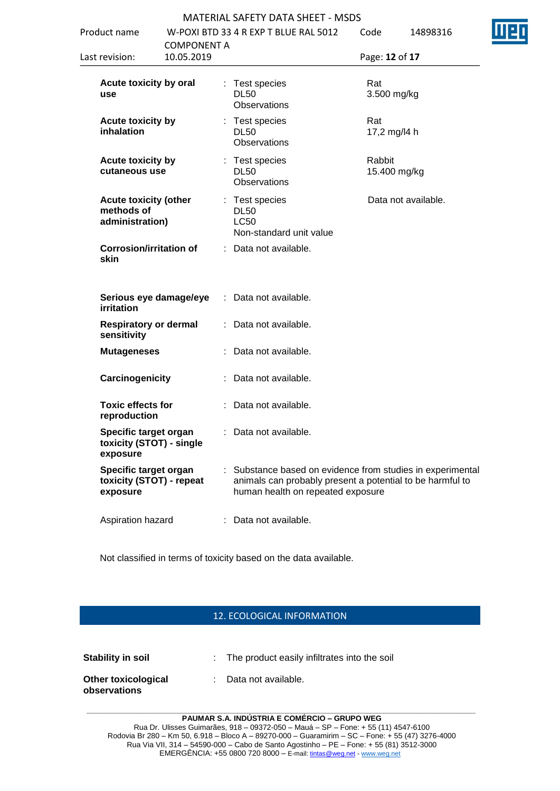| 4 R EXP T BLUE RAL 5012 | Code |  |
|-------------------------|------|--|
|                         |      |  |

|            |                                                                                                                                                                                                                                                                                                                                                                                                                                                    |                    | Code                                                                                                                                                                                                                                                                                                                                                                                                                                                                                             | 14898316                                                                                                                                                                                                                      |
|------------|----------------------------------------------------------------------------------------------------------------------------------------------------------------------------------------------------------------------------------------------------------------------------------------------------------------------------------------------------------------------------------------------------------------------------------------------------|--------------------|--------------------------------------------------------------------------------------------------------------------------------------------------------------------------------------------------------------------------------------------------------------------------------------------------------------------------------------------------------------------------------------------------------------------------------------------------------------------------------------------------|-------------------------------------------------------------------------------------------------------------------------------------------------------------------------------------------------------------------------------|
| 10.05.2019 |                                                                                                                                                                                                                                                                                                                                                                                                                                                    |                    |                                                                                                                                                                                                                                                                                                                                                                                                                                                                                                  |                                                                                                                                                                                                                               |
|            |                                                                                                                                                                                                                                                                                                                                                                                                                                                    |                    | Rat                                                                                                                                                                                                                                                                                                                                                                                                                                                                                              |                                                                                                                                                                                                                               |
|            |                                                                                                                                                                                                                                                                                                                                                                                                                                                    |                    | Rat                                                                                                                                                                                                                                                                                                                                                                                                                                                                                              |                                                                                                                                                                                                                               |
|            |                                                                                                                                                                                                                                                                                                                                                                                                                                                    |                    | Rabbit                                                                                                                                                                                                                                                                                                                                                                                                                                                                                           |                                                                                                                                                                                                                               |
|            |                                                                                                                                                                                                                                                                                                                                                                                                                                                    |                    |                                                                                                                                                                                                                                                                                                                                                                                                                                                                                                  | Data not available.                                                                                                                                                                                                           |
|            |                                                                                                                                                                                                                                                                                                                                                                                                                                                    |                    |                                                                                                                                                                                                                                                                                                                                                                                                                                                                                                  |                                                                                                                                                                                                                               |
|            |                                                                                                                                                                                                                                                                                                                                                                                                                                                    |                    |                                                                                                                                                                                                                                                                                                                                                                                                                                                                                                  |                                                                                                                                                                                                                               |
|            |                                                                                                                                                                                                                                                                                                                                                                                                                                                    |                    |                                                                                                                                                                                                                                                                                                                                                                                                                                                                                                  |                                                                                                                                                                                                                               |
|            |                                                                                                                                                                                                                                                                                                                                                                                                                                                    |                    |                                                                                                                                                                                                                                                                                                                                                                                                                                                                                                  |                                                                                                                                                                                                                               |
|            |                                                                                                                                                                                                                                                                                                                                                                                                                                                    |                    |                                                                                                                                                                                                                                                                                                                                                                                                                                                                                                  |                                                                                                                                                                                                                               |
|            |                                                                                                                                                                                                                                                                                                                                                                                                                                                    |                    |                                                                                                                                                                                                                                                                                                                                                                                                                                                                                                  |                                                                                                                                                                                                                               |
|            |                                                                                                                                                                                                                                                                                                                                                                                                                                                    |                    |                                                                                                                                                                                                                                                                                                                                                                                                                                                                                                  |                                                                                                                                                                                                                               |
|            |                                                                                                                                                                                                                                                                                                                                                                                                                                                    |                    |                                                                                                                                                                                                                                                                                                                                                                                                                                                                                                  |                                                                                                                                                                                                                               |
|            |                                                                                                                                                                                                                                                                                                                                                                                                                                                    |                    |                                                                                                                                                                                                                                                                                                                                                                                                                                                                                                  |                                                                                                                                                                                                                               |
|            | Acute toxicity by oral<br><b>Acute toxicity by</b><br><b>Acute toxicity by</b><br>cutaneous use<br><b>Acute toxicity (other</b><br>administration)<br><b>Corrosion/irritation of</b><br>Serious eye damage/eye<br><b>Respiratory or dermal</b><br><b>Mutageneses</b><br>Carcinogenicity<br><b>Toxic effects for</b><br>Specific target organ<br>toxicity (STOT) - single<br>Specific target organ<br>toxicity (STOT) - repeat<br>Aspiration hazard | <b>COMPONENT A</b> | W-POXI BTD 33 4 R EXP T BLUE RAL 5012<br>: Test species<br><b>DL50</b><br><b>Observations</b><br>: Test species<br><b>DL50</b><br><b>Observations</b><br>: Test species<br><b>DL50</b><br><b>Observations</b><br>: Test species<br><b>DL50</b><br><b>LC50</b><br>Non-standard unit value<br>: Data not available.<br>: Data not available.<br>: Data not available.<br>: Data not available.<br>: Data not available.<br>: Data not available.<br>: Data not available.<br>: Data not available. | Page: 12 of 17<br>3.500 mg/kg<br>17,2 mg/l4 h<br>15.400 mg/kg<br>: Substance based on evidence from studies in experimental<br>animals can probably present a potential to be harmful to<br>human health on repeated exposure |

Not classified in terms of toxicity based on the data available.

### 12. ECOLOGICAL INFORMATION

| <b>Stability in soil</b>                   | : The product easily infiltrates into the soil |
|--------------------------------------------|------------------------------------------------|
| <b>Other toxicological</b><br>observations | : Data not available.                          |

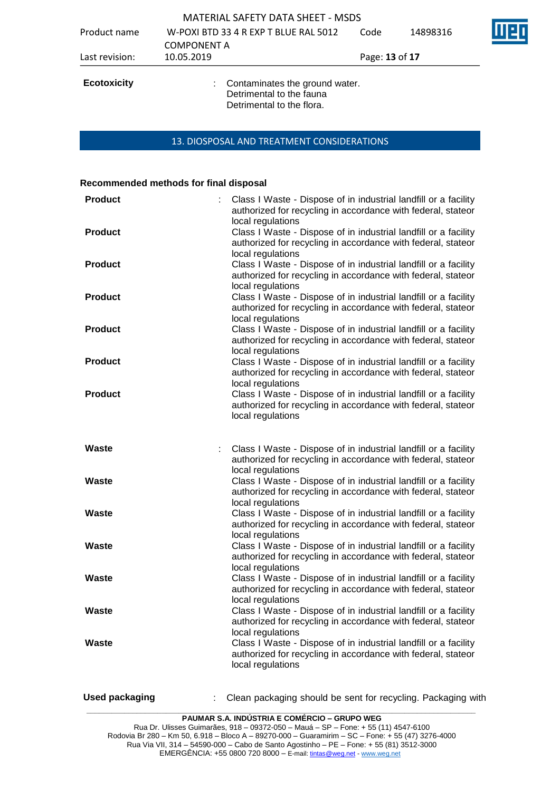| Product name       | <b>MATERIAL SAFETY DATA SHEET - MSDS</b><br>W-POXI BTD 33 4 R EXP T BLUE RAL 5012<br><b>COMPONENT A</b> | Code           | 14898316 |  |
|--------------------|---------------------------------------------------------------------------------------------------------|----------------|----------|--|
| Last revision:     | 10.05.2019                                                                                              | Page: 13 of 17 |          |  |
| <b>Ecotoxicity</b> | Contaminates the ground water.<br>Detrimental to the fauna<br>Detrimental to the flora.                 |                |          |  |

#### 13. DIOSPOSAL AND TREATMENT CONSIDERATIONS

#### **Recommended methods for final disposal**

| <b>Product</b>        | Class I Waste - Dispose of in industrial landfill or a facility<br>authorized for recycling in accordance with federal, stateor<br>local regulations |
|-----------------------|------------------------------------------------------------------------------------------------------------------------------------------------------|
| <b>Product</b>        | Class I Waste - Dispose of in industrial landfill or a facility<br>authorized for recycling in accordance with federal, stateor<br>local regulations |
| <b>Product</b>        | Class I Waste - Dispose of in industrial landfill or a facility<br>authorized for recycling in accordance with federal, stateor<br>local regulations |
| <b>Product</b>        | Class I Waste - Dispose of in industrial landfill or a facility<br>authorized for recycling in accordance with federal, stateor<br>local regulations |
| <b>Product</b>        | Class I Waste - Dispose of in industrial landfill or a facility<br>authorized for recycling in accordance with federal, stateor<br>local regulations |
| <b>Product</b>        | Class I Waste - Dispose of in industrial landfill or a facility<br>authorized for recycling in accordance with federal, stateor<br>local regulations |
| <b>Product</b>        | Class I Waste - Dispose of in industrial landfill or a facility<br>authorized for recycling in accordance with federal, stateor<br>local regulations |
| Waste                 | Class I Waste - Dispose of in industrial landfill or a facility<br>authorized for recycling in accordance with federal, stateor<br>local regulations |
| Waste                 | Class I Waste - Dispose of in industrial landfill or a facility<br>authorized for recycling in accordance with federal, stateor<br>local regulations |
| <b>Waste</b>          | Class I Waste - Dispose of in industrial landfill or a facility<br>authorized for recycling in accordance with federal, stateor<br>local regulations |
| <b>Waste</b>          | Class I Waste - Dispose of in industrial landfill or a facility<br>authorized for recycling in accordance with federal, stateor<br>local regulations |
| <b>Waste</b>          | Class I Waste - Dispose of in industrial landfill or a facility<br>authorized for recycling in accordance with federal, stateor<br>local regulations |
| Waste                 | Class I Waste - Dispose of in industrial landfill or a facility<br>authorized for recycling in accordance with federal, stateor<br>local regulations |
| <b>Waste</b>          | Class I Waste - Dispose of in industrial landfill or a facility<br>authorized for recycling in accordance with federal, stateor<br>local regulations |
| <b>Used packaging</b> | Clean packaging should be sent for recycling. Packaging with                                                                                         |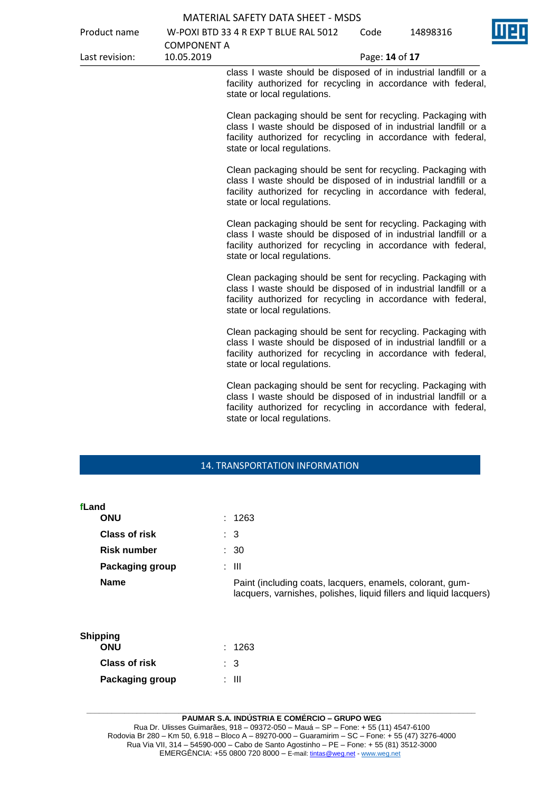| <b>MATERIAL SAFETY DATA SHEET - MSDS</b> |                    |                                                                                                                                                                                                                                 |                |          |
|------------------------------------------|--------------------|---------------------------------------------------------------------------------------------------------------------------------------------------------------------------------------------------------------------------------|----------------|----------|
| Product name                             |                    | W-POXI BTD 33 4 R EXP T BLUE RAL 5012                                                                                                                                                                                           | Code           | 14898316 |
|                                          | <b>COMPONENT A</b> |                                                                                                                                                                                                                                 |                |          |
| Last revision:                           | 10.05.2019         |                                                                                                                                                                                                                                 | Page: 14 of 17 |          |
|                                          |                    | class I waste should be disposed of in industrial landfill or a<br>facility authorized for recycling in accordance with federal,<br>state or local regulations.                                                                 |                |          |
|                                          |                    | Clean packaging should be sent for recycling. Packaging with<br>class I waste should be disposed of in industrial landfill or a<br>facility authorized for recycling in accordance with federal,<br>state or local regulations. |                |          |
|                                          |                    | Clean packaging should be sent for recycling. Packaging with<br>class I waste should be disposed of in industrial landfill or a<br>facility authorized for recycling in accordance with federal,<br>state or local regulations. |                |          |
|                                          |                    | Clean packaging should be sent for recycling. Packaging with<br>class I waste should be disposed of in industrial landfill or a<br>facility authorized for recycling in accordance with federal,<br>state or local regulations. |                |          |
|                                          |                    | Clean packaging should be sent for recycling. Packaging with<br>class I waste should be disposed of in industrial landfill or a<br>facility authorized for recycling in accordance with federal,<br>state or local regulations. |                |          |
|                                          |                    | Clean packaging should be sent for recycling. Packaging with<br>class I waste should be disposed of in industrial landfill or a<br>facility authorized for recycling in accordance with federal,<br>state or local regulations. |                |          |
|                                          |                    | Clean packaging should be sent for recycling. Packaging with<br>class I waste should be disposed of in industrial landfill or a<br>facility authorized for recycling in accordance with federal,<br>state or local regulations. |                |          |

# 14. TRANSPORTATION INFORMATION

| fLand | <b>ONU</b>                    | : 1263                                                                                                                          |
|-------|-------------------------------|---------------------------------------------------------------------------------------------------------------------------------|
|       | Class of risk                 | $\therefore$ 3                                                                                                                  |
|       | <b>Risk number</b>            | $\therefore$ 30                                                                                                                 |
|       | <b>Packaging group</b>        | : III                                                                                                                           |
|       | <b>Name</b>                   | Paint (including coats, lacquers, enamels, colorant, gum-<br>lacquers, varnishes, polishes, liquid fillers and liquid lacquers) |
|       | <b>Shipping</b><br><b>ONU</b> | : 1263                                                                                                                          |
|       | <b>Class of risk</b>          | : 3                                                                                                                             |

| <b>Class of risk</b>   | : 3   |
|------------------------|-------|
| <b>Packaging group</b> | : III |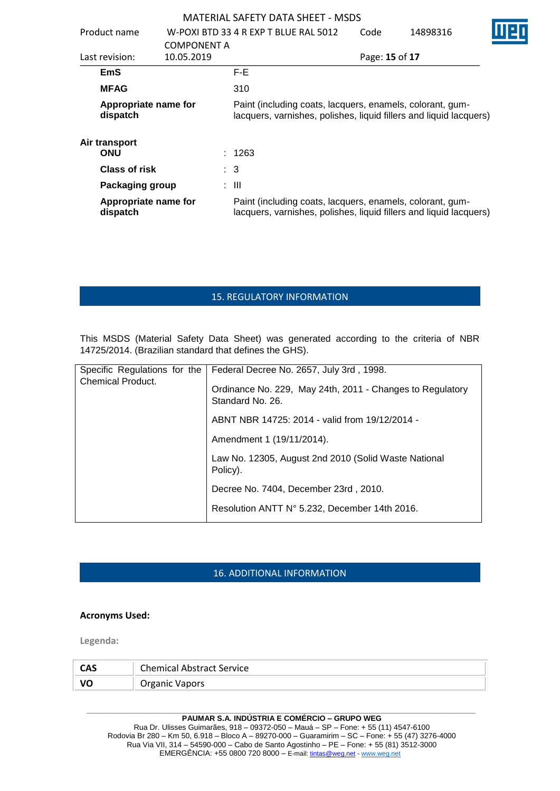|                                                                                                                                                                     |                    |        | <b>MATERIAL SAFETY DATA SHEET - MSDS</b> |                |                                                                                                                                 |  |
|---------------------------------------------------------------------------------------------------------------------------------------------------------------------|--------------------|--------|------------------------------------------|----------------|---------------------------------------------------------------------------------------------------------------------------------|--|
| Product name                                                                                                                                                        |                    |        | W-POXI BTD 33 4 R EXP T BLUE RAL 5012    | Code           | 14898316                                                                                                                        |  |
|                                                                                                                                                                     | <b>COMPONENT A</b> |        |                                          |                |                                                                                                                                 |  |
| Last revision:                                                                                                                                                      | 10.05.2019         |        |                                          | Page: 15 of 17 |                                                                                                                                 |  |
| <b>EmS</b>                                                                                                                                                          |                    | F-E.   |                                          |                |                                                                                                                                 |  |
| <b>MFAG</b>                                                                                                                                                         |                    | 310    |                                          |                |                                                                                                                                 |  |
| Appropriate name for<br>Paint (including coats, lacquers, enamels, colorant, gum-<br>lacquers, varnishes, polishes, liquid fillers and liquid lacquers)<br>dispatch |                    |        |                                          |                |                                                                                                                                 |  |
| Air transport                                                                                                                                                       |                    |        |                                          |                |                                                                                                                                 |  |
| ONU                                                                                                                                                                 |                    | : 1263 |                                          |                |                                                                                                                                 |  |
| <b>Class of risk</b>                                                                                                                                                |                    | : 3    |                                          |                |                                                                                                                                 |  |
| Packaging group                                                                                                                                                     |                    | : III  |                                          |                |                                                                                                                                 |  |
| Appropriate name for<br>dispatch                                                                                                                                    |                    |        |                                          |                | Paint (including coats, lacquers, enamels, colorant, gum-<br>lacquers, varnishes, polishes, liquid fillers and liquid lacquers) |  |

# 15. REGULATORY INFORMATION

This MSDS (Material Safety Data Sheet) was generated according to the criteria of NBR 14725/2014. (Brazilian standard that defines the GHS).

| Specific Regulations for the<br><b>Chemical Product.</b> | Federal Decree No. 2657, July 3rd, 1998.<br>Ordinance No. 229, May 24th, 2011 - Changes to Regulatory<br>Standard No. 26. |
|----------------------------------------------------------|---------------------------------------------------------------------------------------------------------------------------|
|                                                          | ABNT NBR 14725: 2014 - valid from 19/12/2014 -                                                                            |
|                                                          | Amendment 1 (19/11/2014).                                                                                                 |
|                                                          | Law No. 12305, August 2nd 2010 (Solid Waste National<br>Policy).                                                          |
|                                                          | Decree No. 7404, December 23rd, 2010.                                                                                     |
|                                                          | Resolution ANTT N° 5.232, December 14th 2016.                                                                             |

# 16. ADDITIONAL INFORMATION

#### **Acronyms Used:**

**Legenda:**

| CAS | <b>Chemical Abstract Service</b> |
|-----|----------------------------------|
|     | Organic Vapors                   |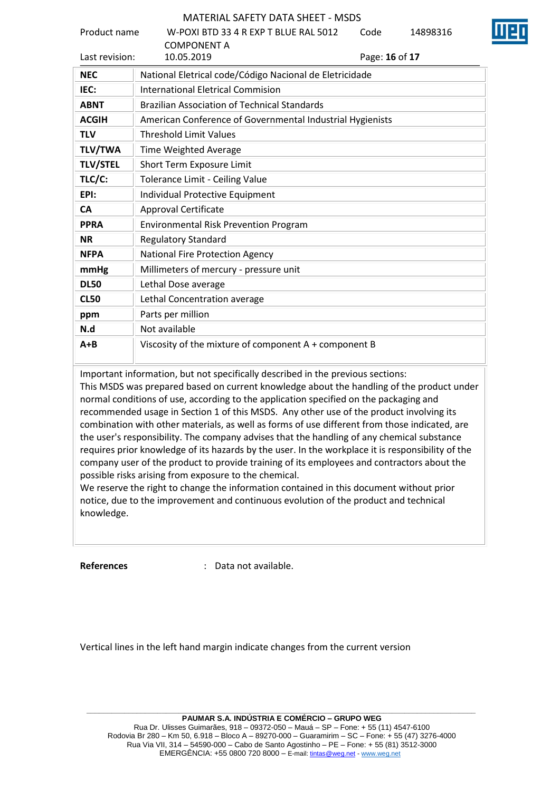| Product name    | W-POXI BTD 33 4 R EXP T BLUE RAL 5012                     | Code           | 14898316 |
|-----------------|-----------------------------------------------------------|----------------|----------|
| Last revision:  | <b>COMPONENT A</b><br>10.05.2019                          | Page: 16 of 17 |          |
| <b>NEC</b>      | National Eletrical code/Código Nacional de Eletricidade   |                |          |
| IEC:            | <b>International Eletrical Commision</b>                  |                |          |
| <b>ABNT</b>     | <b>Brazilian Association of Technical Standards</b>       |                |          |
| <b>ACGIH</b>    | American Conference of Governmental Industrial Hygienists |                |          |
| <b>TLV</b>      | <b>Threshold Limit Values</b>                             |                |          |
| <b>TLV/TWA</b>  | Time Weighted Average                                     |                |          |
| <b>TLV/STEL</b> | Short Term Exposure Limit                                 |                |          |
| TLC/C:          | Tolerance Limit - Ceiling Value                           |                |          |
| EPI:            | Individual Protective Equipment                           |                |          |
| <b>CA</b>       | <b>Approval Certificate</b>                               |                |          |
| <b>PPRA</b>     | <b>Environmental Risk Prevention Program</b>              |                |          |
| <b>NR</b>       | <b>Regulatory Standard</b>                                |                |          |
| <b>NFPA</b>     | <b>National Fire Protection Agency</b>                    |                |          |
| mmHg            | Millimeters of mercury - pressure unit                    |                |          |
| <b>DL50</b>     | Lethal Dose average                                       |                |          |
| <b>CL50</b>     | Lethal Concentration average                              |                |          |
| ppm             | Parts per million                                         |                |          |
| N.d             | Not available                                             |                |          |
| $A + B$         | Viscosity of the mixture of component A + component B     |                |          |

Important information, but not specifically described in the previous sections:

This MSDS was prepared based on current knowledge about the handling of the product under normal conditions of use, according to the application specified on the packaging and recommended usage in Section 1 of this MSDS. Any other use of the product involving its combination with other materials, as well as forms of use different from those indicated, are the user's responsibility. The company advises that the handling of any chemical substance requires prior knowledge of its hazards by the user. In the workplace it is responsibility of the company user of the product to provide training of its employees and contractors about the possible risks arising from exposure to the chemical.

We reserve the right to change the information contained in this document without prior notice, due to the improvement and continuous evolution of the product and technical knowledge.

**References** : Data not available.

Vertical lines in the left hand margin indicate changes from the current version